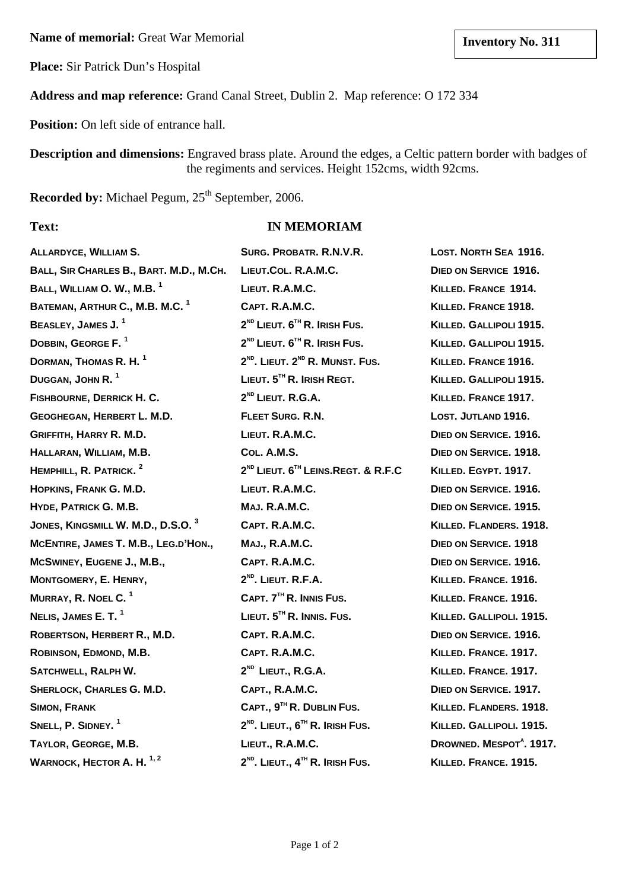**Name of memorial:** Great War Memorial **limits and Server Structure Inventory No. 311** 

**Place:** Sir Patrick Dun's Hospital

**Address and map reference:** Grand Canal Street, Dublin 2. Map reference: O 172 334

**Position:** On left side of entrance hall.

**Description and dimensions:** Engraved brass plate. Around the edges, a Celtic pattern border with badges of the regiments and services. Height 152cms, width 92cms.

Recorded by: Michael Pegum, 25<sup>th</sup> September, 2006.

# **Text: IN MEMORIAM**

| <b>ALLARDYCE, WILLIAM S.</b>                  | SURG. PROBATR. R.N.V.R.                                    | LOST. NORTH SEA 1916.                |
|-----------------------------------------------|------------------------------------------------------------|--------------------------------------|
| BALL, SIR CHARLES B., BART. M.D., M.CH.       | LIEUT.COL. R.A.M.C.                                        | DIED ON SERVICE 1916.                |
| BALL, WILLIAM O. W., M.B. <sup>1</sup>        | LIEUT. R.A.M.C.                                            | KILLED. FRANCE 1914.                 |
| BATEMAN, ARTHUR C., M.B. M.C. <sup>1</sup>    | CAPT. R.A.M.C.                                             | KILLED. FRANCE 1918.                 |
| BEASLEY, JAMES J. <sup>1</sup>                | 2 <sup>ND</sup> LIEUT. 6 <sup>TH</sup> R. IRISH FUS.       | KILLED. GALLIPOLI 1915.              |
| DOBBIN, GEORGE F. <sup>1</sup>                | 2 <sup>ND</sup> LIEUT. 6 <sup>TH</sup> R. IRISH FUS.       | KILLED. GALLIPOLI 1915.              |
| DORMAN, THOMAS R. H. <sup>1</sup>             | 2 <sup>ND</sup> , LIEUT, 2 <sup>ND</sup> R. MUNST, FUS.    | KILLED. FRANCE 1916.                 |
| DUGGAN, JOHN R. <sup>1</sup>                  | LIEUT. $5TH$ R. IRISH REGT.                                | KILLED. GALLIPOLI 1915.              |
| FISHBOURNE, DERRICK H. C.                     | 2 <sup>ND</sup> LIEUT. R.G.A.                              | KILLED. FRANCE 1917.                 |
| GEOGHEGAN, HERBERT L. M.D.                    | FLEET SURG. R.N.                                           | LOST. JUTLAND 1916.                  |
| <b>GRIFFITH, HARRY R. M.D.</b>                | LIEUT. R.A.M.C.                                            | DIED ON SERVICE. 1916.               |
| HALLARAN, WILLIAM, M.B.                       | COL. A.M.S.                                                | DIED ON SERVICE, 1918.               |
| HEMPHILL, R. PATRICK. <sup>2</sup>            | 2 <sup>ND</sup> LIEUT. 6 <sup>TH</sup> LEINS.REGT. & R.F.C | KILLED. EGYPT. 1917.                 |
| HOPKINS, FRANK G. M.D.                        | LIEUT. R.A.M.C.                                            | DIED ON SERVICE, 1916.               |
| HYDE, PATRICK G. M.B.                         | <b>MAJ. R.A.M.C.</b>                                       | DIED ON SERVICE, 1915.               |
| JONES, KINGSMILL W. M.D., D.S.O. <sup>3</sup> | CAPT. R.A.M.C.                                             | KILLED. FLANDERS. 1918.              |
| MCENTIRE, JAMES T. M.B., LEG.D'HON.,          | <b>MAJ., R.A.M.C.</b>                                      | <b>DIED ON SERVICE. 1918</b>         |
| MCSWINEY, EUGENE J., M.B.,                    | CAPT. R.A.M.C.                                             | DIED ON SERVICE, 1916.               |
| MONTGOMERY, E. HENRY,                         | 2 <sup>ND</sup> . LIEUT. R.F.A.                            | KILLED. FRANCE. 1916.                |
| MURRAY, R. NOEL C. <sup>1</sup>               | CAPT. 7 <sup>TH</sup> R. INNIS FUS.                        | KILLED. FRANCE. 1916.                |
| NELIS, JAMES E. T. <sup>1</sup>               | LIEUT. 5TH R. INNIS. FUS.                                  | KILLED. GALLIPOLI. 1915.             |
| ROBERTSON, HERBERT R., M.D.                   | CAPT. R.A.M.C.                                             | DIED ON SERVICE, 1916.               |
| ROBINSON, EDMOND, M.B.                        | CAPT. R.A.M.C.                                             | KILLED. FRANCE. 1917.                |
| SATCHWELL, RALPH W.                           | 2 <sup>ND</sup> LIEUT., R.G.A.                             | KILLED. FRANCE. 1917.                |
| SHERLOCK, CHARLES G. M.D.                     | CAPT., R.A.M.C.                                            | DIED ON SERVICE. 1917.               |
| <b>SIMON, FRANK</b>                           | CAPT., 9TH R. DUBLIN FUS.                                  | KILLED. FLANDERS. 1918.              |
| SNELL, P. SIDNEY. <sup>1</sup>                | $2^{ND}$ . LIEUT., $6^{TH}$ R. IRISH FUS.                  | KILLED. GALLIPOLI. 1915.             |
| TAYLOR, GEORGE, M.B.                          | LIEUT., R.A.M.C.                                           | DROWNED. MESPOT <sup>A</sup> . 1917. |
| WARNOCK, HECTOR A. H. <sup>1,2</sup>          | $2^{ND}$ . LIEUT., $4^{TH}$ R. IRISH FUS.                  | KILLED. FRANCE. 1915.                |